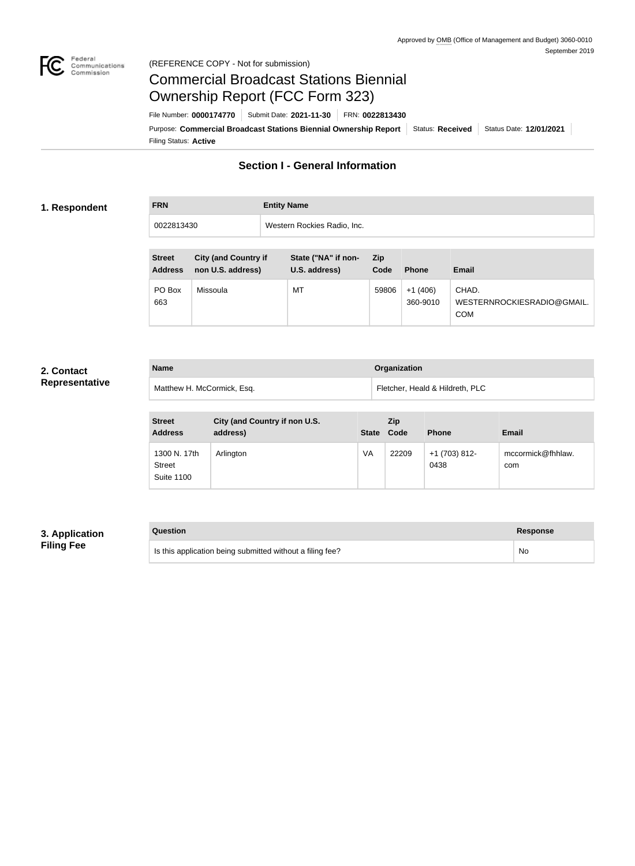

## Federal<br>Communications<br>Commission (REFERENCE COPY - Not for submission)

## Commercial Broadcast Stations Biennial Ownership Report (FCC Form 323)

Filing Status: **Active** Purpose: Commercial Broadcast Stations Biennial Ownership Report Status: Received Status Date: 12/01/2021 File Number: **0000174770** Submit Date: **2021-11-30** FRN: **0022813430**

## **Section I - General Information**

## **1. Respondent**

# **FRN Entity Name** 0022813430 Western Rockies Radio, Inc.

| <b>Street</b><br><b>Address</b> | <b>City (and Country if</b><br>non U.S. address) | State ("NA" if non-<br>U.S. address) | <b>Zip</b><br>Code | <b>Phone</b>          | <b>Email</b>                                      |
|---------------------------------|--------------------------------------------------|--------------------------------------|--------------------|-----------------------|---------------------------------------------------|
| PO Box<br>663                   | Missoula                                         | MT                                   | 59806              | $+1(406)$<br>360-9010 | CHAD.<br>WESTERNROCKIESRADIO@GMAIL.<br><b>COM</b> |

## **2. Contact Representative**

| <b>Name</b>                | Organization                    |
|----------------------------|---------------------------------|
| Matthew H. McCormick, Esq. | Fletcher, Heald & Hildreth, PLC |

| <b>Street</b><br><b>Address</b>                    | City (and Country if non U.S.<br>address) | State Code | <b>Zip</b> | <b>Phone</b>          | <b>Email</b>             |
|----------------------------------------------------|-------------------------------------------|------------|------------|-----------------------|--------------------------|
| 1300 N. 17th<br><b>Street</b><br><b>Suite 1100</b> | Arlington                                 | VA         | 22209      | +1 (703) 812-<br>0438 | mccormick@fhhlaw.<br>com |

## **3. Application Filing Fee**

## **Question Response** Is this application being submitted without a filing fee? No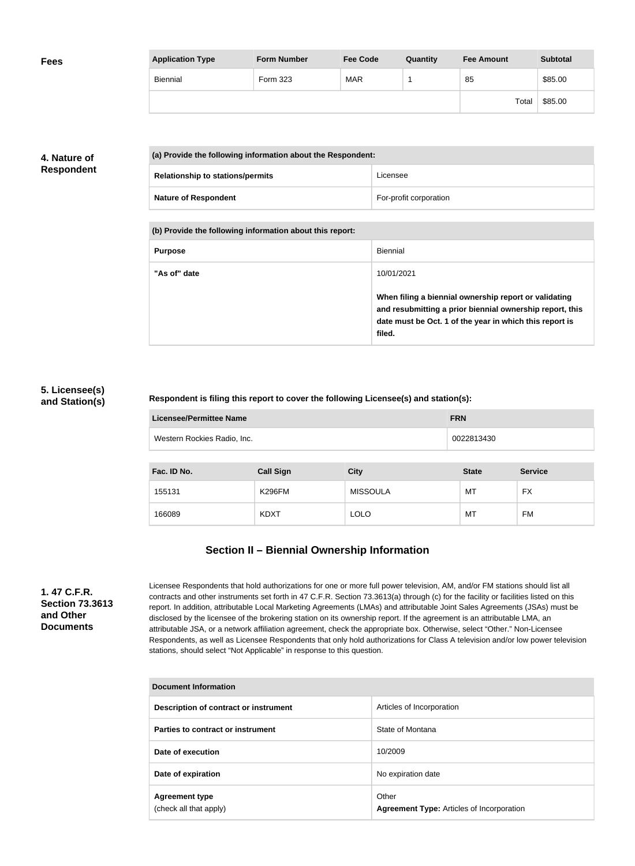| <b>Fees</b> | <b>Application Type</b> | <b>Form Number</b> | <b>Fee Code</b> | Quantity | <b>Fee Amount</b> | <b>Subtotal</b> |
|-------------|-------------------------|--------------------|-----------------|----------|-------------------|-----------------|
|             | Biennial                | Form 323           | <b>MAR</b>      |          | 85                | \$85.00         |
|             |                         |                    |                 |          | Total             | \$85.00         |

## **4. Nature of Respondent**

| (a) Provide the following information about the Respondent: |                        |  |  |
|-------------------------------------------------------------|------------------------|--|--|
| <b>Relationship to stations/permits</b>                     | Licensee               |  |  |
| <b>Nature of Respondent</b>                                 | For-profit corporation |  |  |

**(b) Provide the following information about this report:**

| <b>Purpose</b> | Biennial                                                                                                                                                                               |
|----------------|----------------------------------------------------------------------------------------------------------------------------------------------------------------------------------------|
| "As of" date   | 10/01/2021                                                                                                                                                                             |
|                | When filing a biennial ownership report or validating<br>and resubmitting a prior biennial ownership report, this<br>date must be Oct. 1 of the year in which this report is<br>filed. |

## **5. Licensee(s) and Station(s)**

## **Respondent is filing this report to cover the following Licensee(s) and station(s):**

| Licensee/Permittee Name     | <b>FRN</b> |
|-----------------------------|------------|
| Western Rockies Radio, Inc. | 0022813430 |

| Fac. ID No. | <b>Call Sign</b> | <b>City</b>     | <b>State</b> | <b>Service</b> |
|-------------|------------------|-----------------|--------------|----------------|
| 155131      | <b>K296FM</b>    | <b>MISSOULA</b> | MT           | FX             |
| 166089      | <b>KDXT</b>      | <b>LOLO</b>     | MT           | FM             |

## **Section II – Biennial Ownership Information**

**1. 47 C.F.R. Section 73.3613 and Other Documents**

Licensee Respondents that hold authorizations for one or more full power television, AM, and/or FM stations should list all contracts and other instruments set forth in 47 C.F.R. Section 73.3613(a) through (c) for the facility or facilities listed on this report. In addition, attributable Local Marketing Agreements (LMAs) and attributable Joint Sales Agreements (JSAs) must be disclosed by the licensee of the brokering station on its ownership report. If the agreement is an attributable LMA, an attributable JSA, or a network affiliation agreement, check the appropriate box. Otherwise, select "Other." Non-Licensee Respondents, as well as Licensee Respondents that only hold authorizations for Class A television and/or low power television stations, should select "Not Applicable" in response to this question.

| Document Information                            |                                                           |  |  |
|-------------------------------------------------|-----------------------------------------------------------|--|--|
| Description of contract or instrument           | Articles of Incorporation                                 |  |  |
| Parties to contract or instrument               | State of Montana                                          |  |  |
| Date of execution                               | 10/2009                                                   |  |  |
| Date of expiration                              | No expiration date                                        |  |  |
| <b>Agreement type</b><br>(check all that apply) | Other<br><b>Agreement Type: Articles of Incorporation</b> |  |  |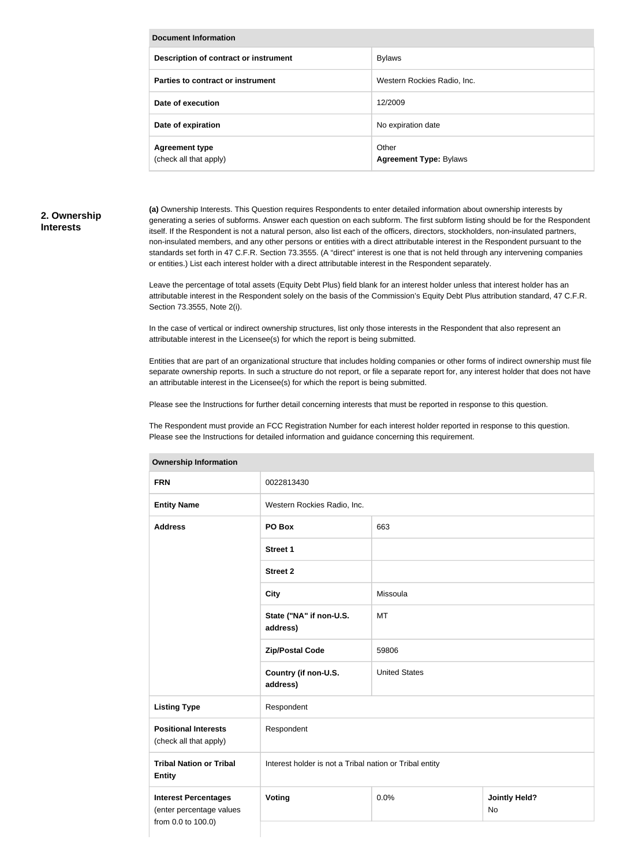| <b>Document Information</b>                     |                                        |  |
|-------------------------------------------------|----------------------------------------|--|
| Description of contract or instrument           | <b>Bylaws</b>                          |  |
| Parties to contract or instrument               | Western Rockies Radio, Inc.            |  |
| Date of execution                               | 12/2009                                |  |
| Date of expiration                              | No expiration date                     |  |
| <b>Agreement type</b><br>(check all that apply) | Other<br><b>Agreement Type: Bylaws</b> |  |

## **2. Ownership Interests**

**(a)** Ownership Interests. This Question requires Respondents to enter detailed information about ownership interests by generating a series of subforms. Answer each question on each subform. The first subform listing should be for the Respondent itself. If the Respondent is not a natural person, also list each of the officers, directors, stockholders, non-insulated partners, non-insulated members, and any other persons or entities with a direct attributable interest in the Respondent pursuant to the standards set forth in 47 C.F.R. Section 73.3555. (A "direct" interest is one that is not held through any intervening companies or entities.) List each interest holder with a direct attributable interest in the Respondent separately.

Leave the percentage of total assets (Equity Debt Plus) field blank for an interest holder unless that interest holder has an attributable interest in the Respondent solely on the basis of the Commission's Equity Debt Plus attribution standard, 47 C.F.R. Section 73.3555, Note 2(i).

In the case of vertical or indirect ownership structures, list only those interests in the Respondent that also represent an attributable interest in the Licensee(s) for which the report is being submitted.

Entities that are part of an organizational structure that includes holding companies or other forms of indirect ownership must file separate ownership reports. In such a structure do not report, or file a separate report for, any interest holder that does not have an attributable interest in the Licensee(s) for which the report is being submitted.

Please see the Instructions for further detail concerning interests that must be reported in response to this question.

The Respondent must provide an FCC Registration Number for each interest holder reported in response to this question. Please see the Instructions for detailed information and guidance concerning this requirement.

| <b>FRN</b>                                                                    | 0022813430                                              |                      |                            |  |
|-------------------------------------------------------------------------------|---------------------------------------------------------|----------------------|----------------------------|--|
| <b>Entity Name</b>                                                            | Western Rockies Radio, Inc.                             |                      |                            |  |
| <b>Address</b>                                                                | PO Box                                                  | 663                  |                            |  |
|                                                                               | <b>Street 1</b>                                         |                      |                            |  |
|                                                                               | <b>Street 2</b>                                         |                      |                            |  |
|                                                                               | <b>City</b>                                             | Missoula             |                            |  |
|                                                                               | State ("NA" if non-U.S.<br>address)                     | <b>MT</b>            |                            |  |
|                                                                               | <b>Zip/Postal Code</b>                                  | 59806                |                            |  |
|                                                                               | Country (if non-U.S.<br>address)                        | <b>United States</b> |                            |  |
| <b>Listing Type</b>                                                           | Respondent                                              |                      |                            |  |
| <b>Positional Interests</b><br>(check all that apply)                         | Respondent                                              |                      |                            |  |
| <b>Tribal Nation or Tribal</b><br><b>Entity</b>                               | Interest holder is not a Tribal nation or Tribal entity |                      |                            |  |
| <b>Interest Percentages</b><br>(enter percentage values<br>from 0.0 to 100.0) | Voting                                                  | 0.0%                 | <b>Jointly Held?</b><br>No |  |
|                                                                               |                                                         |                      |                            |  |

#### **Ownership Information**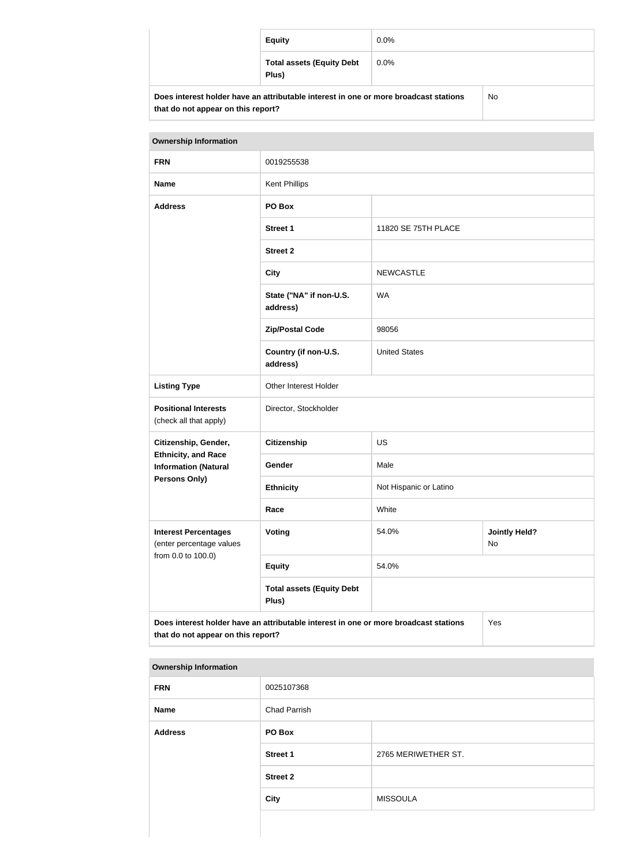|                                                                                      | <b>Equity</b>                             | $0.0\%$ |     |
|--------------------------------------------------------------------------------------|-------------------------------------------|---------|-----|
|                                                                                      | <b>Total assets (Equity Debt</b><br>Plus) | $0.0\%$ |     |
| Does interest holder have an attributable interest in one or more broadcast stations |                                           |         | No. |

| <b>Ownership Information</b>                                                                                                      |                                           |                                     |  |
|-----------------------------------------------------------------------------------------------------------------------------------|-------------------------------------------|-------------------------------------|--|
| <b>FRN</b>                                                                                                                        | 0019255538                                |                                     |  |
| <b>Name</b>                                                                                                                       | <b>Kent Phillips</b>                      |                                     |  |
| <b>Address</b>                                                                                                                    | PO Box                                    |                                     |  |
|                                                                                                                                   | <b>Street 1</b>                           | 11820 SE 75TH PLACE                 |  |
|                                                                                                                                   | <b>Street 2</b>                           |                                     |  |
|                                                                                                                                   | <b>City</b>                               | <b>NEWCASTLE</b>                    |  |
|                                                                                                                                   | State ("NA" if non-U.S.<br>address)       | <b>WA</b>                           |  |
|                                                                                                                                   | <b>Zip/Postal Code</b>                    | 98056                               |  |
|                                                                                                                                   | Country (if non-U.S.<br>address)          | <b>United States</b>                |  |
| <b>Listing Type</b>                                                                                                               | Other Interest Holder                     |                                     |  |
| <b>Positional Interests</b><br>(check all that apply)                                                                             | Director, Stockholder                     |                                     |  |
| Citizenship, Gender,                                                                                                              | Citizenship                               | US                                  |  |
| <b>Ethnicity, and Race</b><br><b>Information (Natural</b>                                                                         | Gender                                    | Male                                |  |
| <b>Persons Only)</b>                                                                                                              | <b>Ethnicity</b>                          | Not Hispanic or Latino              |  |
|                                                                                                                                   | Race                                      | White                               |  |
| <b>Interest Percentages</b><br>(enter percentage values                                                                           | <b>Voting</b>                             | <b>Jointly Held?</b><br>54.0%<br>No |  |
| from 0.0 to 100.0)                                                                                                                | <b>Equity</b>                             | 54.0%                               |  |
|                                                                                                                                   | <b>Total assets (Equity Debt</b><br>Plus) |                                     |  |
| Does interest holder have an attributable interest in one or more broadcast stations<br>Yes<br>that do not appear on this report? |                                           |                                     |  |

### **Ownership Information**

**that do not appear on this report?**

| <b>FRN</b>     | 0025107368          |                     |
|----------------|---------------------|---------------------|
| <b>Name</b>    | <b>Chad Parrish</b> |                     |
| <b>Address</b> | PO Box              |                     |
|                | <b>Street 1</b>     | 2765 MERIWETHER ST. |
|                | <b>Street 2</b>     |                     |
|                | <b>City</b>         | <b>MISSOULA</b>     |
|                |                     |                     |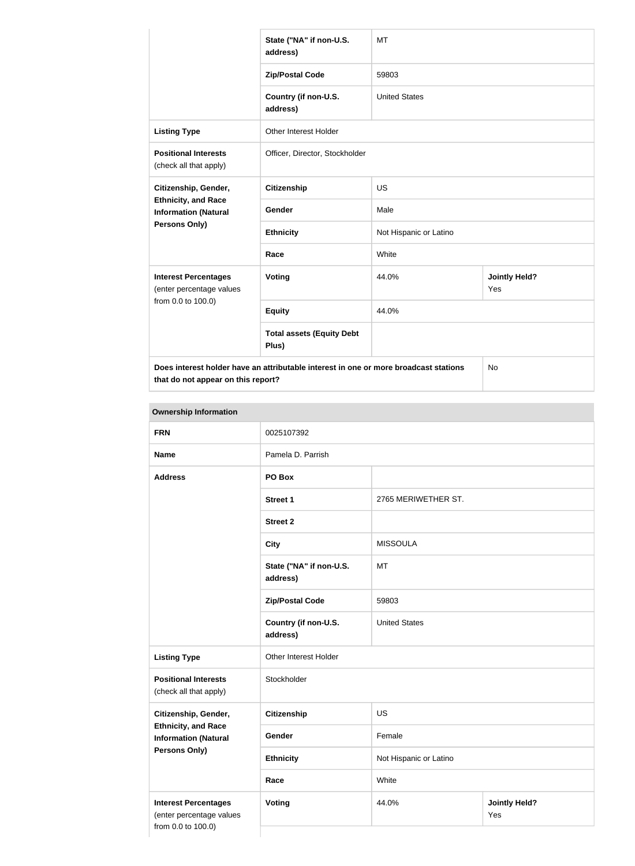|                                                                                      | State ("NA" if non-U.S.<br>address)       | <b>MT</b>              |                             |
|--------------------------------------------------------------------------------------|-------------------------------------------|------------------------|-----------------------------|
|                                                                                      | <b>Zip/Postal Code</b>                    | 59803                  |                             |
|                                                                                      | Country (if non-U.S.<br>address)          | <b>United States</b>   |                             |
| <b>Listing Type</b>                                                                  | <b>Other Interest Holder</b>              |                        |                             |
| <b>Positional Interests</b><br>(check all that apply)                                | Officer, Director, Stockholder            |                        |                             |
| Citizenship, Gender,                                                                 | <b>Citizenship</b>                        | <b>US</b>              |                             |
| <b>Ethnicity, and Race</b><br><b>Information (Natural</b>                            | Gender                                    | Male                   |                             |
| Persons Only)                                                                        | <b>Ethnicity</b>                          | Not Hispanic or Latino |                             |
|                                                                                      | Race                                      | White                  |                             |
| <b>Interest Percentages</b><br>(enter percentage values                              | Voting                                    | 44.0%                  | <b>Jointly Held?</b><br>Yes |
| from 0.0 to 100.0)                                                                   | <b>Equity</b>                             | 44.0%                  |                             |
|                                                                                      | <b>Total assets (Equity Debt</b><br>Plus) |                        |                             |
| Does interest holder have an attributable interest in one or more broadcast stations |                                           |                        | No                          |

**that do not appear on this report?**

| <b>Ownership Information</b>                                                  |                                     |                        |                             |
|-------------------------------------------------------------------------------|-------------------------------------|------------------------|-----------------------------|
| <b>FRN</b>                                                                    | 0025107392                          |                        |                             |
| <b>Name</b>                                                                   | Pamela D. Parrish                   |                        |                             |
| <b>Address</b>                                                                | PO Box                              |                        |                             |
|                                                                               | <b>Street 1</b>                     | 2765 MERIWETHER ST.    |                             |
|                                                                               | <b>Street 2</b>                     |                        |                             |
|                                                                               | <b>City</b>                         | <b>MISSOULA</b>        |                             |
|                                                                               | State ("NA" if non-U.S.<br>address) | <b>MT</b>              |                             |
|                                                                               | <b>Zip/Postal Code</b>              | 59803                  |                             |
|                                                                               | Country (if non-U.S.<br>address)    | <b>United States</b>   |                             |
| <b>Listing Type</b>                                                           | Other Interest Holder               |                        |                             |
| <b>Positional Interests</b><br>(check all that apply)                         | Stockholder                         |                        |                             |
| Citizenship, Gender,                                                          | <b>Citizenship</b>                  | US                     |                             |
| <b>Ethnicity, and Race</b><br><b>Information (Natural</b>                     | Gender                              | Female                 |                             |
| Persons Only)                                                                 | <b>Ethnicity</b>                    | Not Hispanic or Latino |                             |
|                                                                               | Race                                | White                  |                             |
| <b>Interest Percentages</b><br>(enter percentage values<br>from 0.0 to 100.0) | <b>Voting</b>                       | 44.0%                  | <b>Jointly Held?</b><br>Yes |
|                                                                               |                                     |                        |                             |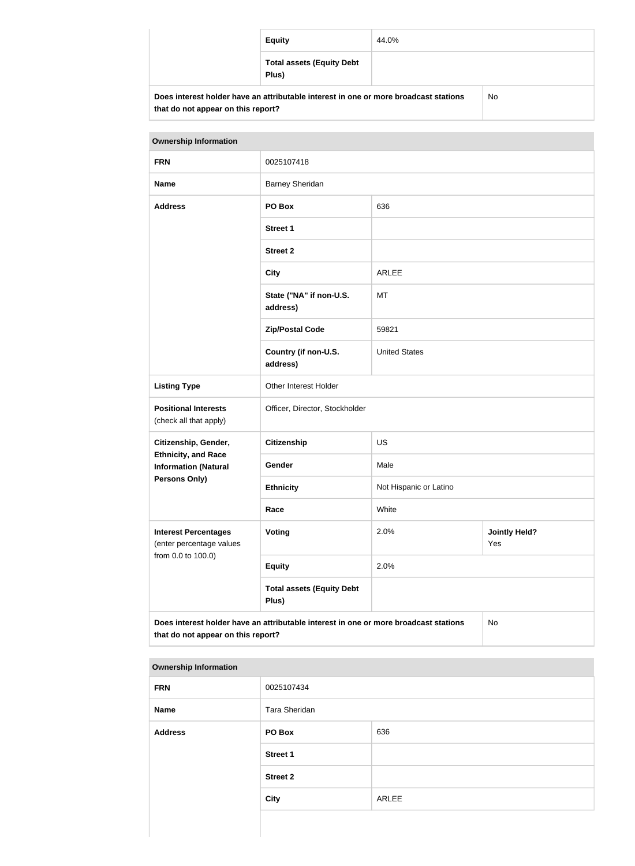| <b>Equity</b>                                                                        | 44.0% |    |
|--------------------------------------------------------------------------------------|-------|----|
| <b>Total assets (Equity Debt</b><br>Plus)                                            |       |    |
| Does interest holder have an attributable interest in one or more broadcast stations |       | No |

| <b>Ownership Information</b>                                                                                                     |                                           |                                     |  |
|----------------------------------------------------------------------------------------------------------------------------------|-------------------------------------------|-------------------------------------|--|
| <b>FRN</b>                                                                                                                       | 0025107418                                |                                     |  |
| <b>Name</b>                                                                                                                      | <b>Barney Sheridan</b>                    |                                     |  |
| <b>Address</b>                                                                                                                   | PO Box                                    | 636                                 |  |
|                                                                                                                                  | <b>Street 1</b>                           |                                     |  |
|                                                                                                                                  | <b>Street 2</b>                           |                                     |  |
|                                                                                                                                  | <b>City</b>                               | <b>ARLEE</b>                        |  |
|                                                                                                                                  | State ("NA" if non-U.S.<br>address)       | <b>MT</b>                           |  |
|                                                                                                                                  | <b>Zip/Postal Code</b>                    | 59821                               |  |
|                                                                                                                                  | Country (if non-U.S.<br>address)          | <b>United States</b>                |  |
| <b>Listing Type</b>                                                                                                              | Other Interest Holder                     |                                     |  |
| <b>Positional Interests</b><br>(check all that apply)                                                                            | Officer, Director, Stockholder            |                                     |  |
| Citizenship, Gender,                                                                                                             | <b>Citizenship</b>                        | <b>US</b>                           |  |
| <b>Ethnicity, and Race</b><br><b>Information (Natural</b>                                                                        | Gender                                    | Male                                |  |
| Persons Only)                                                                                                                    | <b>Ethnicity</b>                          | Not Hispanic or Latino              |  |
|                                                                                                                                  | Race                                      | White                               |  |
| <b>Interest Percentages</b><br>(enter percentage values<br>from 0.0 to 100.0)                                                    | <b>Voting</b>                             | 2.0%<br><b>Jointly Held?</b><br>Yes |  |
|                                                                                                                                  | <b>Equity</b>                             | 2.0%                                |  |
|                                                                                                                                  | <b>Total assets (Equity Debt</b><br>Plus) |                                     |  |
| Does interest holder have an attributable interest in one or more broadcast stations<br>No<br>that do not appear on this report? |                                           |                                     |  |

### **Ownership Information**

**that do not appear on this report?**

| <b>FRN</b>     | 0025107434      |       |
|----------------|-----------------|-------|
| Name           | Tara Sheridan   |       |
| <b>Address</b> | PO Box          | 636   |
|                | <b>Street 1</b> |       |
|                | <b>Street 2</b> |       |
|                | <b>City</b>     | ARLEE |
|                |                 |       |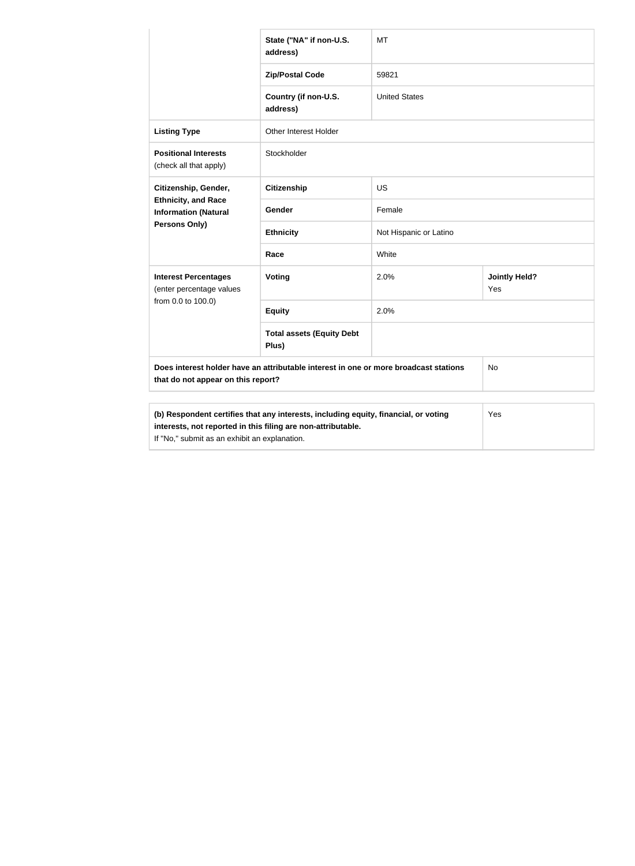|                                                                                                                                                     | State ("NA" if non-U.S.<br>address)       | <b>MT</b>              |                             |
|-----------------------------------------------------------------------------------------------------------------------------------------------------|-------------------------------------------|------------------------|-----------------------------|
|                                                                                                                                                     | <b>Zip/Postal Code</b>                    | 59821                  |                             |
|                                                                                                                                                     | Country (if non-U.S.<br>address)          | <b>United States</b>   |                             |
| <b>Listing Type</b>                                                                                                                                 | Other Interest Holder                     |                        |                             |
| <b>Positional Interests</b><br>(check all that apply)                                                                                               | Stockholder                               |                        |                             |
| Citizenship, Gender,                                                                                                                                | <b>Citizenship</b>                        | <b>US</b>              |                             |
| <b>Ethnicity, and Race</b><br><b>Information (Natural</b><br><b>Persons Only)</b>                                                                   | Gender                                    | Female                 |                             |
|                                                                                                                                                     | <b>Ethnicity</b>                          | Not Hispanic or Latino |                             |
|                                                                                                                                                     | Race                                      | White                  |                             |
| <b>Interest Percentages</b><br>(enter percentage values                                                                                             | Voting                                    | 2.0%                   | <b>Jointly Held?</b><br>Yes |
| from 0.0 to 100.0)                                                                                                                                  | <b>Equity</b>                             | 2.0%                   |                             |
|                                                                                                                                                     | <b>Total assets (Equity Debt</b><br>Plus) |                        |                             |
| Does interest holder have an attributable interest in one or more broadcast stations<br>that do not appear on this report?                          |                                           | No                     |                             |
|                                                                                                                                                     |                                           |                        |                             |
| (b) Respondent certifies that any interests, including equity, financial, or voting<br>interests, not reported in this filing are non-attributable. |                                           |                        | Yes                         |

If "No," submit as an exhibit an explanation.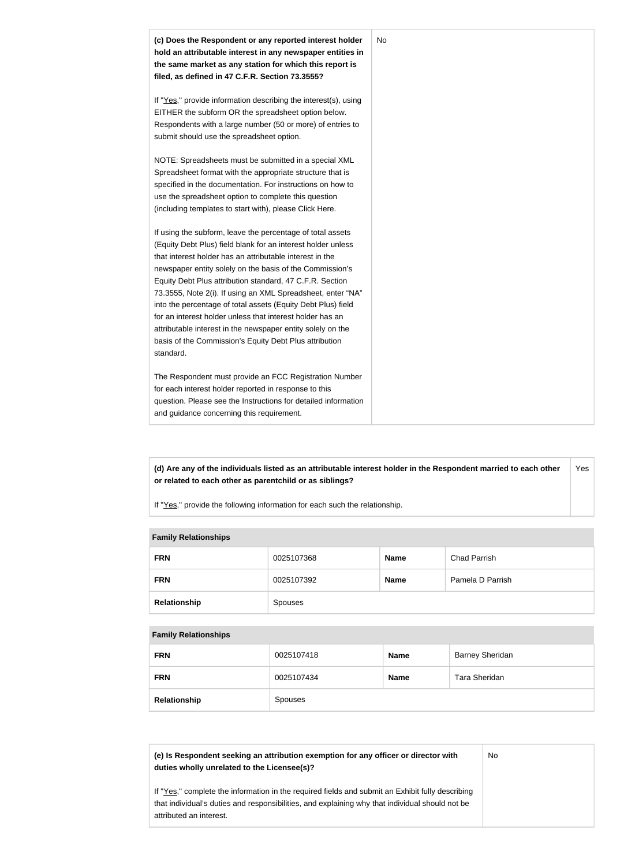

**(d) Are any of the individuals listed as an attributable interest holder in the Respondent married to each other or related to each other as parentchild or as siblings?** Yes

If "Yes," provide the following information for each such the relationship.

### **Family Relationships**

| <b>FRN</b>   | 0025107368 | <b>Name</b> | <b>Chad Parrish</b> |
|--------------|------------|-------------|---------------------|
| <b>FRN</b>   | 0025107392 | <b>Name</b> | Pamela D Parrish    |
| Relationship | Spouses    |             |                     |

#### **Family Relationships**

| <b>FRN</b>   | 0025107418 | <b>Name</b> | <b>Barney Sheridan</b> |
|--------------|------------|-------------|------------------------|
| <b>FRN</b>   | 0025107434 | <b>Name</b> | Tara Sheridan          |
| Relationship | Spouses    |             |                        |

**(e) Is Respondent seeking an attribution exemption for any officer or director with duties wholly unrelated to the Licensee(s)?**

No

If "Yes," complete the information in the required fields and submit an Exhibit fully describing that individual's duties and responsibilities, and explaining why that individual should not be attributed an interest.